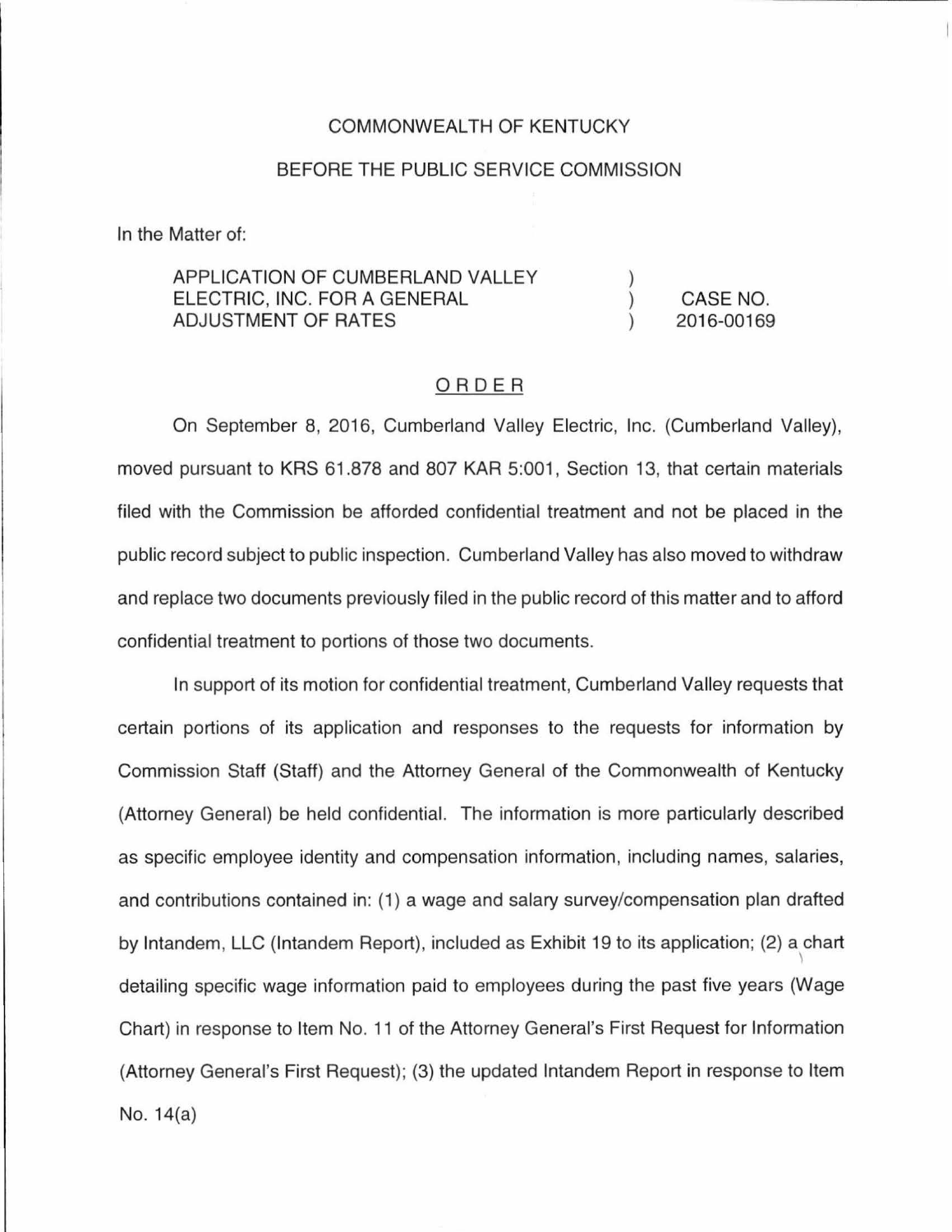## COMMONWEAL TH OF KENTUCKY

## BEFORE THE PUBLIC SERVICE COMMISSION

In the Matter of:

## APPLICATION OF CUMBERLAND VALLEY ELECTRIC, INC. FOR A GENERAL CASE NO.  $\mathcal{L}$ ADJUSTMENT OF RATES 2016-00169

## ORDER

On September 8, 2016, Cumberland Valley Electric, Inc. (Cumberland Valley), moved pursuant to KRS 61.878 and 807 KAR 5:001, Section 13, that certain materials filed with the Commission be afforded confidential treatment and not be placed in the public record subject to public inspection. Cumberland Valley has also moved to withdraw and replace two documents previously filed in the public record of this matter and to afford confidential treatment to portions of those two documents.

In support of its motion for confidential treatment, Cumberland Valley requests that certain portions of its application and responses to the requests for information by Commission Staff (Staff) and the Attorney General of the Commonwealth of Kentucky (Attorney General) be held confidential. The information is more particularly described as specific employee identity and compensation information, including names, salaries, and contributions contained in: (1) a wage and salary survey/compensation plan drafted by lntandem, LLC (lntandem Report), included as Exhibit 19 to its application; (2) a chart  $\setminus$ detailing specific wage information paid to employees during the past five years (Wage Chart) in response to Item No. 11 of the Attorney General's First Request for Information (Attorney General's First Request); (3) the updated lntandem Report in response to Item No. 14(a)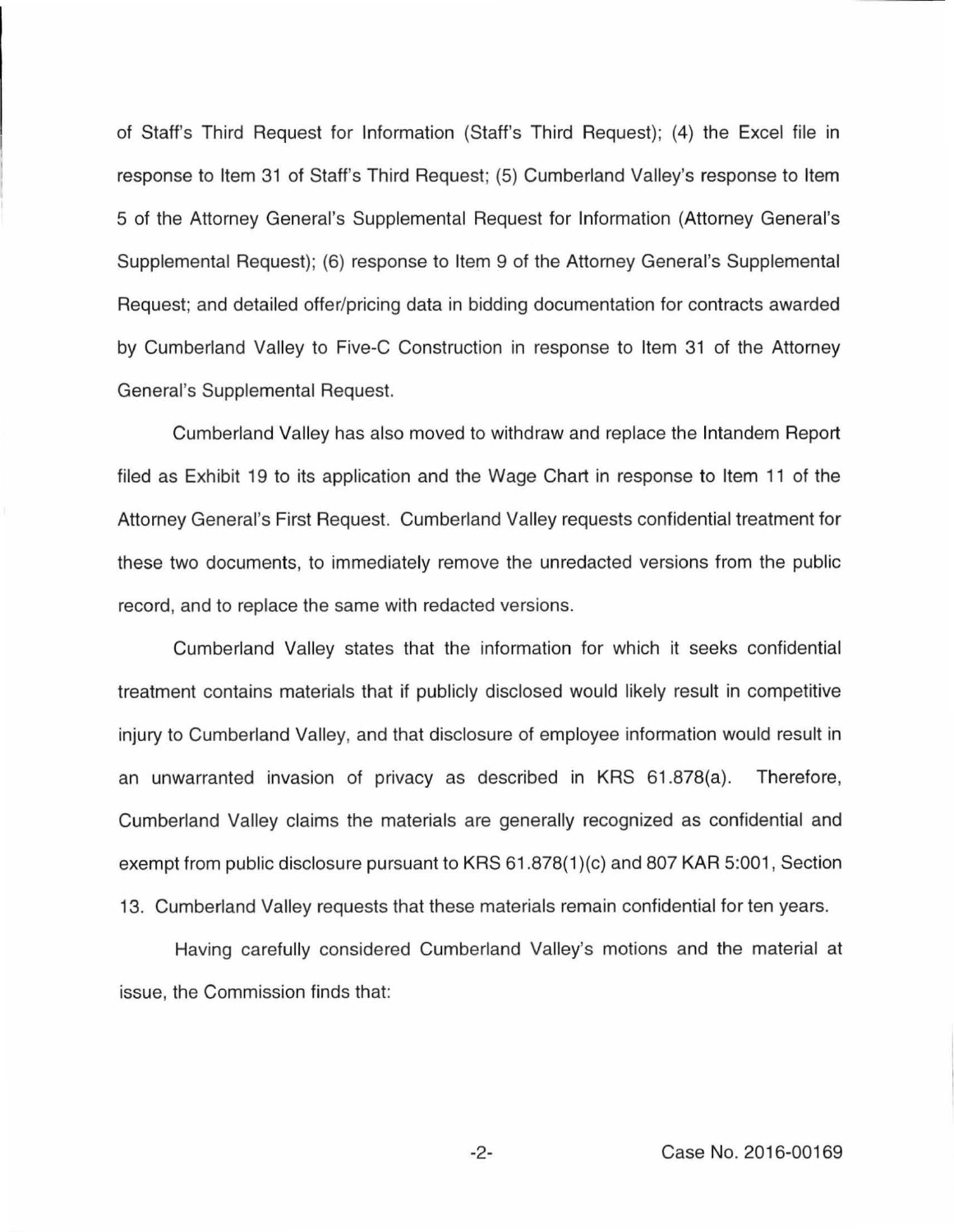of Staff's Third Request for Information (Staff's Third Request); (4) the Excel file in response to Item 31 of Staff's Third Request; (5) Cumberland Valley's response to Item 5 of the Attorney General's Supplemental Request for Information (Attorney General's Supplemental Request); (6) response to Item 9 of the Attorney General's Supplemental Request; and detailed offer/pricing data in bidding documentation for contracts awarded by Cumberland Valley to Five-C Construction in response to Item 31 of the Attorney General's Supplemental Request.

Cumberland Valley has also moved to withdraw and replace the lntandem Report filed as Exhibit 19 to its application and the Wage Chart in response to Item 11 of the Attorney General's First Request. Cumberland Valley requests confidential treatment for these two documents, to immediately remove the unredacted versions from the public record, and to replace the same with redacted versions.

Cumberland Valley states that the information for which it seeks confidential treatment contains materials that if publicly disclosed would likely result in competitive injury to Cumberland Valley, and that disclosure of employee information would result in an unwarranted invasion of privacy as described in KRS 61 .878(a). Therefore, Cumberland Valley claims the materials are generally recognized as confidential and exempt from public disclosure pursuant to KRS 61.878(1)(c) and 807 KAR 5:001, Section 13. Cumberland Valley requests that these materials remain confidential for ten years.

Having carefully considered Cumberland Valley's motions and the material at issue, the Commission finds that: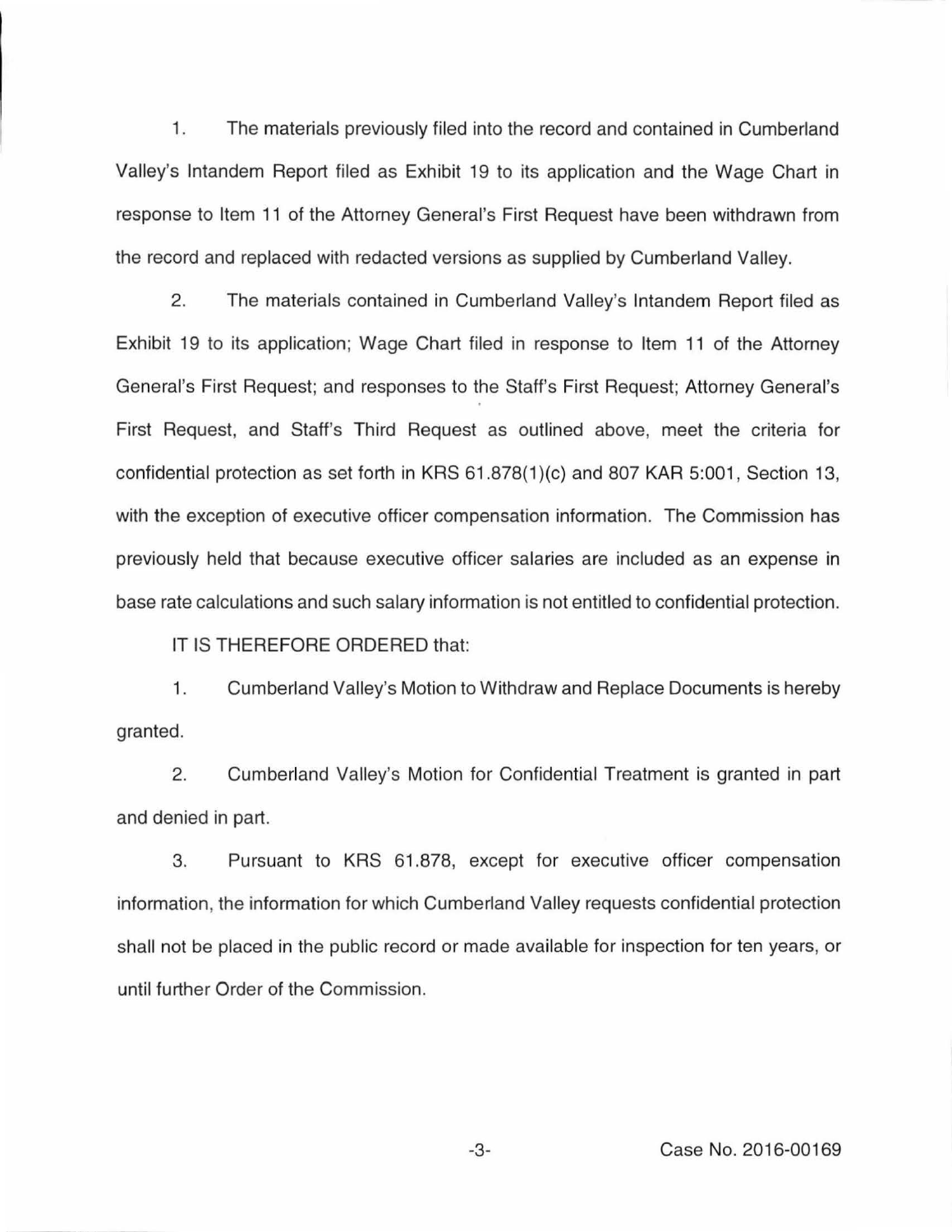1. The materials previously filed into the record and contained in Cumberland Valley's lntandem Report filed as Exhibit 19 to its application and the Wage Chart in response to Item 11 of the Attorney General's First Request have been withdrawn from the record and replaced with redacted versions as supplied by Cumberland Valley.

2. The materials contained in Cumberland Valley's lntandem Report filed as Exhibit 19 to its application; Wage Chart filed in response to Item 11 of the Attorney General's First Request; and responses to the Staff's First Request; Attorney General's First Request, and Staff's Third Request as outlined above, meet the criteria for confidential protection as set forth in KRS 61.878(1)(c) and 807 KAR 5:001, Section 13, with the exception of executive officer compensation information. The Commission has previously held that because executive officer salaries are included as an expense in base rate calculations and such salary information is not entitled to confidential protection.

IT IS THEREFORE ORDERED that:

1. Cumberland Valley's Motion to Withdraw and Replace Documents is hereby granted.

2. Cumberland Valley's Motion for Confidential Treatment is granted in part and denied in part.

3. Pursuant to KRS 61.878, except for executive officer compensation information, the information for which Cumberland Valley requests confidential protection shall not be placed in the public record or made available for inspection for ten years, or until further Order of the Commission.

-3- Case No. 2016-00169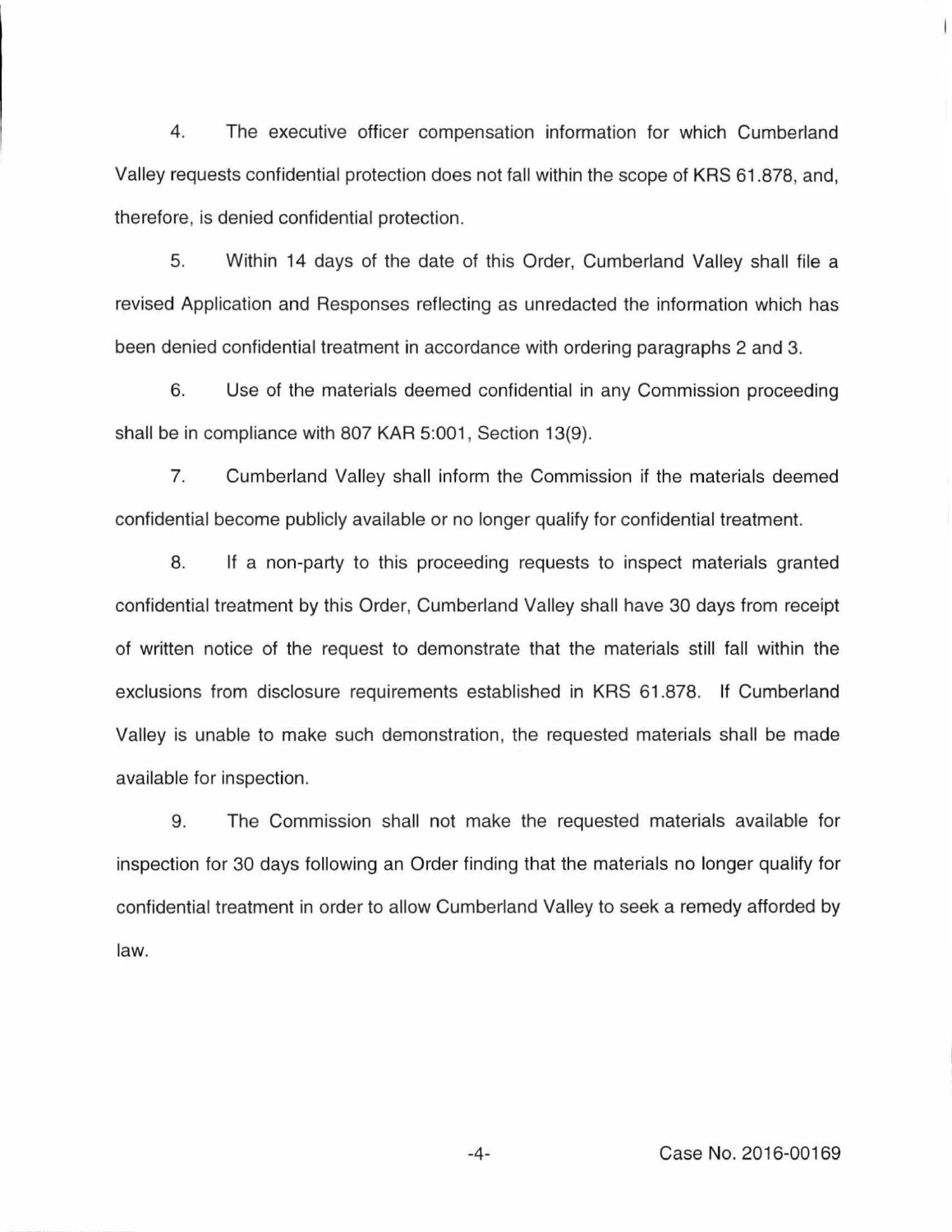4. The executive officer compensation information for which Cumberland Valley requests confidential protection does not fall within the scope of KRS 61.878, and, therefore, is denied confidential protection.

5. Within 14 days of the date of this Order, Cumberland Valley shall file a revised Application and Responses reflecting as unredacted the information which has been denied confidential treatment in accordance with ordering paragraphs 2 and 3.

6. Use of the materials deemed confidential in any Commission proceeding shall be in compliance with 807 KAR 5:001, Section 13(9).

7. Cumberland Valley shall inform the Commission if the materials deemed confidential become publicly available or no longer qualify for confidential treatment.

8. If a non-party to this proceeding requests to inspect materials granted confidential treatment by this Order, Cumberland Valley shall have 30 days from receipt of written notice of the request to demonstrate that the materials still fall within the exclusions from disclosure requirements established in KRS 61.878. If Cumberland Valley is unable to make such demonstration, the requested materials shall be made available for inspection.

9. The Commission shall not make the requested materials available for inspection for 30 days following an Order finding that the materials no longer qualify for confidential treatment in order to allow Cumberland Valley to seek a remedy afforded by law.

-4- Case No. 2016-00169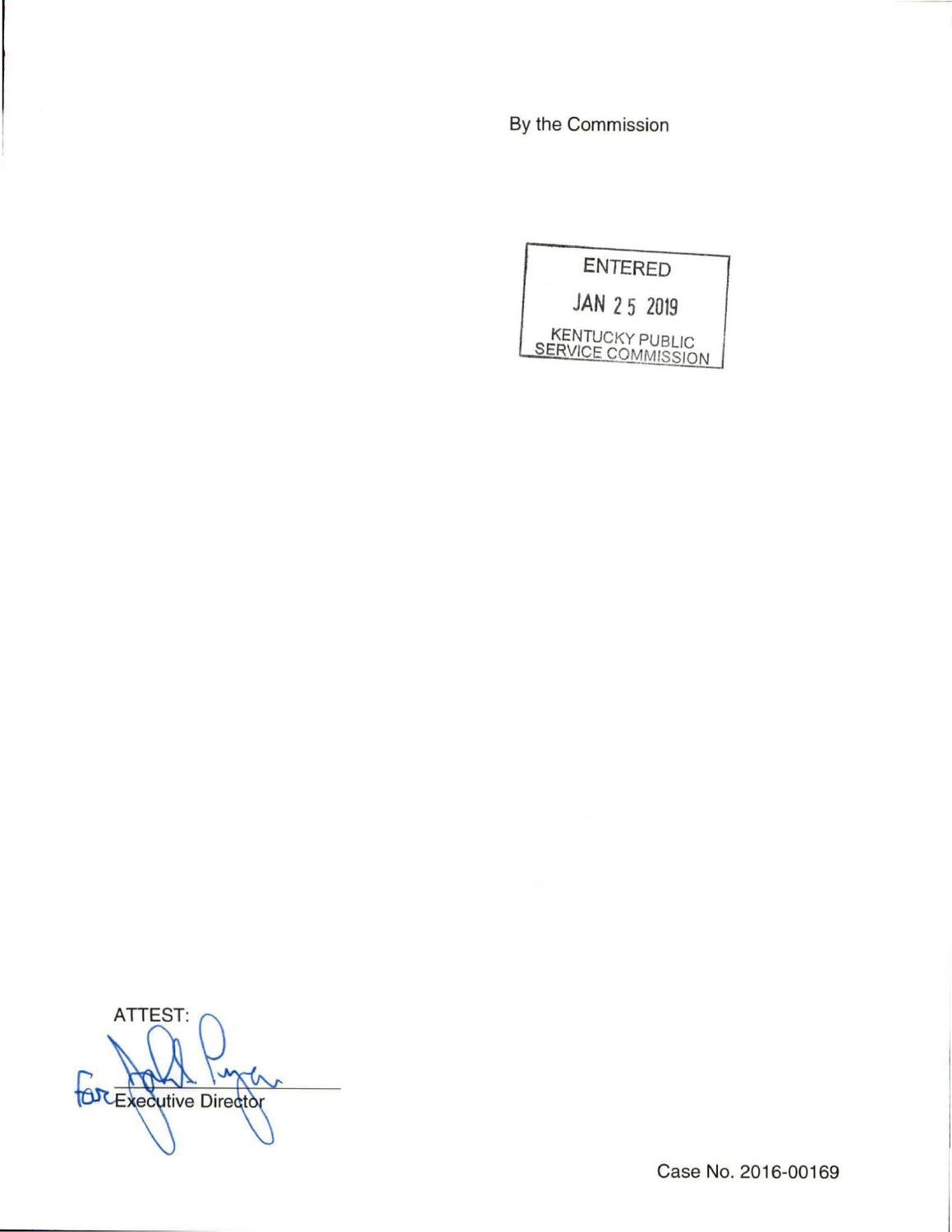By the Commission



ATTEST: **OR Executive Director** 

Case No. 2016-00169